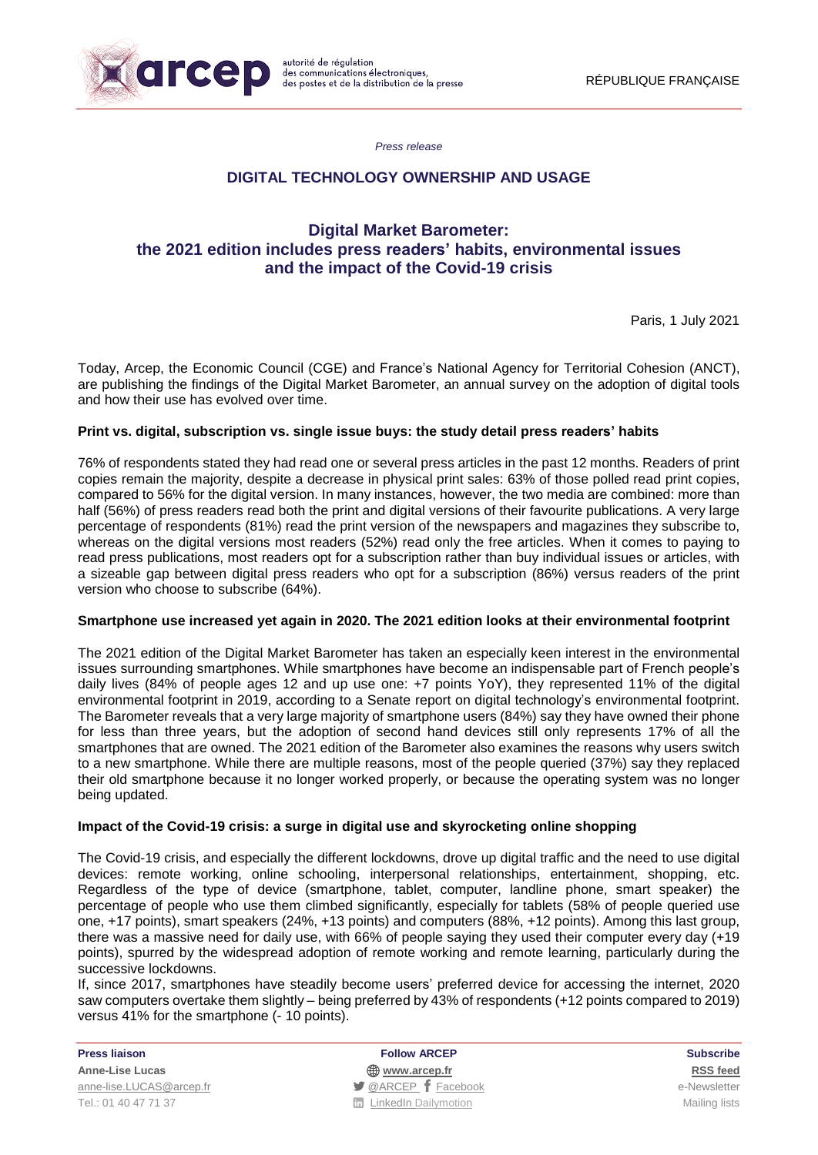

*Press release*

## **DIGITAL TECHNOLOGY OWNERSHIP AND USAGE**

# **Digital Market Barometer: the 2021 edition includes press readers' habits, environmental issues and the impact of the Covid-19 crisis**

Paris, 1 July 2021

Today, Arcep, the Economic Council (CGE) and France's National Agency for Territorial Cohesion (ANCT), are publishing the findings of the Digital Market Barometer, an annual survey on the adoption of digital tools and how their use has evolved over time.

### **Print vs. digital, subscription vs. single issue buys: the study detail press readers' habits**

76% of respondents stated they had read one or several press articles in the past 12 months. Readers of print copies remain the majority, despite a decrease in physical print sales: 63% of those polled read print copies, compared to 56% for the digital version. In many instances, however, the two media are combined: more than half (56%) of press readers read both the print and digital versions of their favourite publications. A very large percentage of respondents (81%) read the print version of the newspapers and magazines they subscribe to, whereas on the digital versions most readers (52%) read only the free articles. When it comes to paying to read press publications, most readers opt for a subscription rather than buy individual issues or articles, with a sizeable gap between digital press readers who opt for a subscription (86%) versus readers of the print version who choose to subscribe (64%).

### **Smartphone use increased yet again in 2020. The 2021 edition looks at their environmental footprint**

The 2021 edition of the Digital Market Barometer has taken an especially keen interest in the environmental issues surrounding smartphones. While smartphones have become an indispensable part of French people's daily lives (84% of people ages 12 and up use one: +7 points YoY), they represented 11% of the digital environmental footprint in 2019, according to a Senate report on digital technology's environmental footprint. The Barometer reveals that a very large majority of smartphone users (84%) say they have owned their phone for less than three years, but the adoption of second hand devices still only represents 17% of all the smartphones that are owned. The 2021 edition of the Barometer also examines the reasons why users switch to a new smartphone. While there are multiple reasons, most of the people queried (37%) say they replaced their old smartphone because it no longer worked properly, or because the operating system was no longer being updated.

### **Impact of the Covid-19 crisis: a surge in digital use and skyrocketing online shopping**

The Covid-19 crisis, and especially the different lockdowns, drove up digital traffic and the need to use digital devices: remote working, online schooling, interpersonal relationships, entertainment, shopping, etc. Regardless of the type of device (smartphone, tablet, computer, landline phone, smart speaker) the percentage of people who use them climbed significantly, especially for tablets (58% of people queried use one, +17 points), smart speakers (24%, +13 points) and computers (88%, +12 points). Among this last group, there was a massive need for daily use, with 66% of people saying they used their computer every day (+19 points), spurred by the widespread adoption of remote working and remote learning, particularly during the successive lockdowns.

If, since 2017, smartphones have steadily become users' preferred device for accessing the internet, 2020 saw computers overtake them slightly – being preferred by 43% of respondents (+12 points compared to 2019) versus 41% for the smartphone (- 10 points).

**Anne-Lise Lucas [www.arcep.fr](http://www.arcep.fr/) [RSS](/feed/::www.arcep.fr:?eID=tx_rssforge&feedid=2&h=14df1) feed** [anne-lise.LUCAS@arcep.fr](mailto:anne-lise.LUCAS@arcep.fr) [@ARCEP](http://www.twitter.com/ARCEP) [Facebook](https://www.facebook.com/arcep.fr) e-Newsletter Tel.: 01 40 47 71 37 Mailing lists and TurkedIn [Dailymotion](http://www.dailymotion.com/ARCEP) and TurkedIn Dailymotion Mailing lists

**Press liaison Follow ARCEP Subscribe**